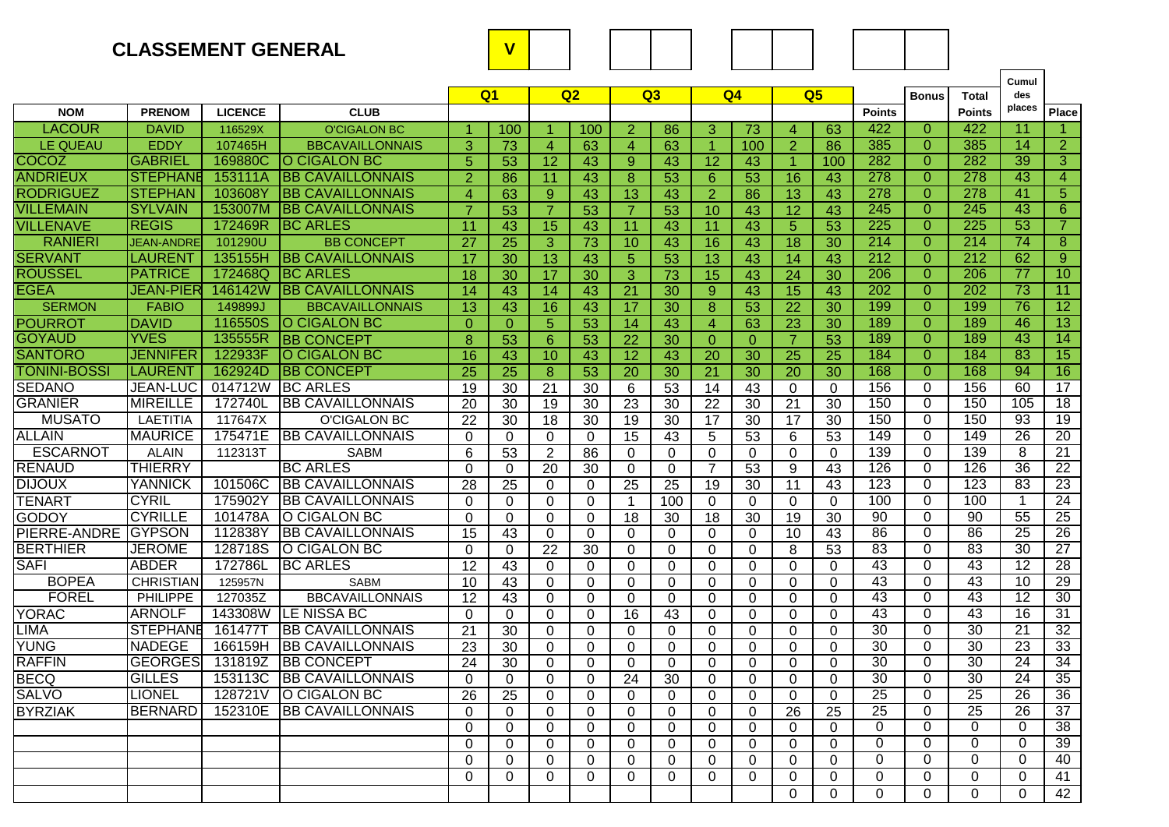## **CLASSEMENT GENERAL V**

|                     |                   |                |                          |                 |                 |                 |                 |                 |                 |                 |                 |                 |                 |                  |                |                  | Cumul           |                 |
|---------------------|-------------------|----------------|--------------------------|-----------------|-----------------|-----------------|-----------------|-----------------|-----------------|-----------------|-----------------|-----------------|-----------------|------------------|----------------|------------------|-----------------|-----------------|
|                     |                   |                |                          | Q <sub>1</sub>  |                 |                 | Q <sub>2</sub>  | Q <sub>3</sub>  |                 | Q <sub>4</sub>  |                 | Q <sub>5</sub>  |                 |                  | <b>Bonus</b>   | Total            | des             |                 |
| <b>NOM</b>          | <b>PRENOM</b>     | <b>LICENCE</b> | <b>CLUB</b>              |                 |                 |                 |                 |                 |                 |                 |                 |                 |                 | <b>Points</b>    |                | <b>Points</b>    | places          | Place           |
| <b>LACOUR</b>       | <b>DAVID</b>      | 116529X        | <b>O'CIGALON BC</b>      |                 | 100             | 1               | 100             | $\overline{2}$  | 86              | 3               | 73              | $\overline{4}$  | 63              | 422              | $\Omega$       | 422              | $\overline{11}$ |                 |
| LE QUEAU            | EDDY              | 107465H        | <b>BBCAVAILLONNAIS</b>   | 3               | 73              | $\overline{4}$  | 63              | $\overline{4}$  | 63              | -1              | 100             | $\overline{2}$  | 86              | 385              | $\overline{0}$ | 385              | $\overline{14}$ | $\overline{2}$  |
| COCOZ               | <b>GABRIEL</b>    | 169880C        | O CIGALON BC             | 5               | 53              | $\overline{12}$ | 43              | $\overline{9}$  | 43              | 12              | 43              | $\overline{1}$  | 100             | 282              | $\Omega$       | 282              | 39              | 3               |
| <b>ANDRIEUX</b>     | <b>STEPHANE</b>   | 153111A        | <b>BB CAVAILLONNAIS</b>  | $\overline{2}$  | 86              | 11              | 43              | $\bf 8$         | 53              | 6               | 53              | 16              | 43              | 278              | $\Omega$       | 278              | 43              | 4               |
| <b>RODRIGUEZ</b>    | <b>STEPHAN</b>    | 103608Y        | <b>BB CAVAILLONNAIS</b>  | $\overline{4}$  | 63              | 9               | 43              | $\overline{13}$ | 43              | $\overline{2}$  | 86              | $\overline{13}$ | 43              | 278              | $\Omega$       | 278              | 41              | $\overline{5}$  |
| <b>VILLEMAIN</b>    | <b>SYLVAIN</b>    | 153007M        | <b>BB CAVAILLONNAIS</b>  | 7               | 53              | $\overline{7}$  | $\overline{53}$ | $\overline{7}$  | 53              | 10              | 43              | $\overline{12}$ | 43              | 245              | $\Omega$       | 245              | 43              | $\overline{6}$  |
| <b>VILLENAVE</b>    | <b>REGIS</b>      | 172469R        | <b>BC ARLES</b>          | 11              | 43              | $\overline{15}$ | 43              | $\overline{11}$ | 43              | $\overline{11}$ | 43              | $\overline{5}$  | $\overline{53}$ | 225              | $\Omega$       | 225              | $\overline{53}$ | $\overline{7}$  |
| <b>RANIERI</b>      | <b>JEAN-ANDRE</b> | 101290U        | <b>BB CONCEPT</b>        | 27              | $\overline{25}$ | 3               | 73              | 10              | 43              | 16              | 43              | $\overline{18}$ | $\overline{30}$ | $\overline{214}$ | $\Omega$       | $\overline{214}$ | 74              | 8               |
| <b>SERVANT</b>      | <b>LAURENT</b>    | 135155H        | <b>BB CAVAILLONNAIS</b>  | 17              | 30              | 13              | 43              | 5               | $\overline{53}$ | 13              | 43              | 14              | 43              | 212              | $\Omega$       | 212              | 62              | $\overline{9}$  |
| <b>ROUSSEL</b>      | <b>PATRICE</b>    | 172468Q        | <b>BC ARLES</b>          | 18              | 30              | 17              | 30              | 3               | 73              | 15              | 43              | 24              | 30              | 206              | $\Omega$       | 206              | $\overline{77}$ | 10              |
| <b>EGEA</b>         | JEAN-PIER         | 146142W        | <b>BB CAVAILLONNAIS</b>  | 14              | 43              | 14              | 43              | 21              | 30              | 9               | 43              | 15              | 43              | 202              | $\Omega$       | 202              | $\overline{73}$ | 11              |
| <b>SERMON</b>       | <b>FABIO</b>      | 149899J        | <b>BBCAVAILLONNAIS</b>   | 13              | 43              | 16              | 43              | 17              | 30              | 8               | 53              | 22              | 30              | 199              | $\Omega$       | 199              | 76              | $\overline{12}$ |
| <b>POURROT</b>      | <b>DAVID</b>      | 116550S        | O CIGALON BC             | $\Omega$        | $\theta$        | 5               | 53              | 14              | 43              | 4               | 63              | 23              | 30              | 189              | $\Omega$       | 189              | 46              | 13              |
| <b>GOYAUD</b>       | <b>YVES</b>       | 135555R        | <b>BB CONCEPT</b>        | 8               | 53              | 6               | 53              | 22              | 30              | $\Omega$        | $\Omega$        | $\overline{7}$  | 53              | 189              | $\Omega$       | 189              | 43              | 14              |
| <b>SANTORO</b>      | <b>JENNIFER</b>   | 122933F        | <b>O CIGALON BC</b>      | 16              | 43              | 10              | 43              | 12              | 43              | 20              | $\overline{30}$ | $\overline{25}$ | 25              | 184              | $\Omega$       | 184              | $\overline{83}$ | $\overline{15}$ |
| <b>TONINI-BOSSI</b> | <b>LAURENT</b>    | 162924D        | <b>IBB CONCEPT</b>       | 25              | $\overline{25}$ | 8               | 53              | 20              | 30              | 21              | 30              | 20              | 30              | 168              | $\Omega$       | 168              | 94              | 16              |
| <b>SEDANO</b>       | <b>JEAN-LUC</b>   | 014712W        | <b>BC ARLES</b>          | 19              | 30              | 21              | 30              | 6               | 53              | 14              | 43              | $\mathbf{0}$    | $\Omega$        | 156              | $\Omega$       | 156              | 60              | 17              |
| <b>GRANIER</b>      | <b>MIREILLE</b>   | 172740L        | <b>BB CAVAILLONNAIS</b>  | 20              | $\overline{30}$ | 19              | 30              | $\overline{23}$ | $\overline{30}$ | $\overline{22}$ | $\overline{30}$ | $\overline{21}$ | $\overline{30}$ | 150              | 0              | 150              | 105             | 18              |
| <b>MUSATO</b>       | LAETITIA          | 117647X        | <b>O'CIGALON BC</b>      | 22              | 30              | 18              | 30              | 19              | 30              | 17              | 30              | 17              | 30              | 150              | $\Omega$       | 150              | 93              | 19              |
| <b>ALLAIN</b>       | <b>MAURICE</b>    | 175471E        | <b>BB CAVAILLONNAIS</b>  | $\Omega$        | $\Omega$        | $\mathbf{0}$    | $\mathbf{0}$    | 15              | 43              | 5               | 53              | 6               | 53              | 149              | $\Omega$       | 149              | $\overline{26}$ | $\overline{20}$ |
| <b>ESCARNOT</b>     | <b>ALAIN</b>      | 112313T        | <b>SABM</b>              | 6               | 53              | $\overline{2}$  | 86              | $\Omega$        | $\Omega$        | $\mathbf{0}$    | 0               | $\Omega$        | $\Omega$        | 139              | $\Omega$       | 139              | 8               | $\overline{21}$ |
| <b>RENAUD</b>       | <b>THIERRY</b>    |                | <b>BC ARLES</b>          | $\Omega$        | $\mathbf{0}$    | 20              | 30              | $\Omega$        | $\Omega$        | $\overline{7}$  | 53              | 9               | 43              | 126              | $\Omega$       | 126              | $\overline{36}$ | $\overline{22}$ |
| <b>DIJOUX</b>       | <b>YANNICK</b>    | 101506C        | <b>BB CAVAILLONNAIS</b>  | 28              | 25              | $\mathbf 0$     | $\mathbf 0$     | 25              | 25              | 19              | 30              | 11              | 43              | 123              | 0              | 123              | 83              | 23              |
| <b>TENART</b>       | <b>CYRIL</b>      | 175902Y        | <b>BB CAVAILLONNAIS</b>  | $\Omega$        | $\Omega$        | $\mathbf{0}$    | $\Omega$        | $\mathbf{1}$    | 100             | $\mathbf{0}$    | $\Omega$        | $\Omega$        | $\Omega$        | 100              | $\Omega$       | 100              | $\overline{1}$  | 24              |
| <b>GODOY</b>        | <b>CYRILLE</b>    | 101478A        | O CIGALON BC             | $\Omega$        | $\Omega$        | 0               | $\Omega$        | 18              | 30              | 18              | 30              | 19              | 30              | $\overline{90}$  | 0              | 90               | 55              | $\overline{25}$ |
| PIERRE-ANDRE        | <b>GYPSON</b>     | 112838Y        | <b>BB CAVAILLONNAIS</b>  | $\overline{15}$ | 43              | $\mathbf{0}$    | $\mathbf{0}$    | $\Omega$        | $\Omega$        | $\Omega$        | $\Omega$        | 10              | 43              | 86               | $\Omega$       | 86               | $\overline{25}$ | $\overline{26}$ |
| <b>BERTHIER</b>     | <b>JEROME</b>     | 128718S        | O CIGALON BC             | $\Omega$        | $\mathbf{0}$    | 22              | 30              | $\Omega$        | 0               | $\Omega$        | 0               | 8               | 53              | 83               | 0              | 83               | $\overline{30}$ | $\overline{27}$ |
| <b>SAFI</b>         | <b>ABDER</b>      | 172786L        | <b>BC ARLES</b>          | 12              | 43              | $\Omega$        | $\Omega$        | $\Omega$        | $\Omega$        | $\Omega$        | $\Omega$        | $\Omega$        | $\Omega$        | 43               | $\Omega$       | 43               | 12              | 28              |
| <b>BOPEA</b>        | <b>CHRISTIAN</b>  | 125957N        | <b>SABM</b>              | 10              | 43              | $\Omega$        | 0               | $\Omega$        | $\Omega$        | $\Omega$        | 0               | $\Omega$        | $\Omega$        | 43               | 0              | 43               | 10              | 29              |
| <b>FOREL</b>        | PHILIPPE          | 127035Z        | <b>BBCAVAILLONNAIS</b>   | 12              | 43              | 0               | $\mathbf{0}$    | $\Omega$        | $\Omega$        | $\Omega$        | $\Omega$        | $\Omega$        | $\Omega$        | 43               | $\Omega$       | 43               | 12              | 30              |
| YORAC               | <b>ARNOLF</b>     | 143308W        | <b>LE NISSA BC</b>       | $\Omega$        | $\mathbf{0}$    | $\Omega$        | $\Omega$        | 16              | 43              | $\Omega$        | $\Omega$        | $\Omega$        | $\Omega$        | 43               | $\Omega$       | 43               | $\overline{16}$ | $\overline{31}$ |
| LIMA                | <b>STEPHANE</b>   | 161477T        | <b>BB CAVAILLONNAIS</b>  | 21              | 30              | $\Omega$        | $\Omega$        | $\Omega$        | 0               | $\Omega$        | $\Omega$        | $\mathbf{0}$    | $\Omega$        | 30               | $\Omega$       | 30               | $\overline{21}$ | 32              |
| YUNG                | <b>NADEGE</b>     | 166159H        | <b>IBB CAVAILLONNAIS</b> | 23              | 30              | 0               | $\Omega$        | $\Omega$        | 0               | $\Omega$        | $\Omega$        | $\Omega$        | $\Omega$        | $\overline{30}$  | 0              | $\overline{30}$  | 23              | 33              |
| <b>RAFFIN</b>       | <b>GEORGES</b>    | 131819Z        | <b>BB CONCEPT</b>        | 24              | 30              | $\Omega$        | $\Omega$        | $\Omega$        | $\Omega$        | $\Omega$        | $\Omega$        | $\Omega$        | $\Omega$        | 30               | $\Omega$       | 30               | 24              | 34              |
| <b>BECQ</b>         | <b>GILLES</b>     | 153113C        | <b>IBB CAVAILLONNAIS</b> | $\Omega$        | $\Omega$        | $\Omega$        | $\Omega$        | 24              | 30              | $\Omega$        | $\Omega$        | 0               | $\Omega$        | $\overline{30}$  | $\Omega$       | 30               | $\overline{24}$ | 35              |
| <b>SALVO</b>        | <b>LIONEL</b>     |                | 128721V O CIGALON BC     | 26              | 25              | 0               | 0               | 0               | 0               | $\mathbf 0$     | $\mathbf 0$     | $\Omega$        | 0               | $\overline{25}$  | 0              | 25               | 26              | 36              |
| <b>BYRZIAK</b>      | <b>BERNARD</b>    |                | 152310E BB CAVAILLONNAIS | $\mathbf{0}$    | $\mathbf{0}$    | 0               | $\Omega$        | 0               | 0               | 0               | $\mathbf 0$     | 26              | 25              | 25               | $\Omega$       | 25               | 26              | 37              |
|                     |                   |                |                          | $\mathbf 0$     | $\mathbf 0$     | $\mathbf 0$     | 0               | $\mathbf 0$     | 0               | 0               | $\mathbf 0$     | $\mathbf 0$     | $\mathbf{0}$    | 0                | 0              | $\overline{0}$   | $\overline{0}$  | 38              |
|                     |                   |                |                          | $\mathbf 0$     | 0               | 0               | 0               | 0               | 0               | 0               | $\mathbf 0$     | 0               | $\mathbf 0$     | $\mathbf 0$      | 0              | $\overline{0}$   | $\overline{0}$  | 39              |
|                     |                   |                |                          | 0               | $\mathbf 0$     | $\mathbf 0$     | 0               | $\mathbf 0$     | 0               | $\mathbf 0$     | 0               | 0               | 0               | 0                | 0              | 0                | $\mathbf 0$     | 40              |
|                     |                   |                |                          | 0               | 0               | 0               | 0               | 0               | 0               | 0               | 0               | 0               | 0               | $\mathbf 0$      | 0              | 0                | 0               | 41              |
|                     |                   |                |                          |                 |                 |                 |                 |                 |                 |                 |                 | 0               | 0               | 0                | $\overline{0}$ | 0                | 0               | 42              |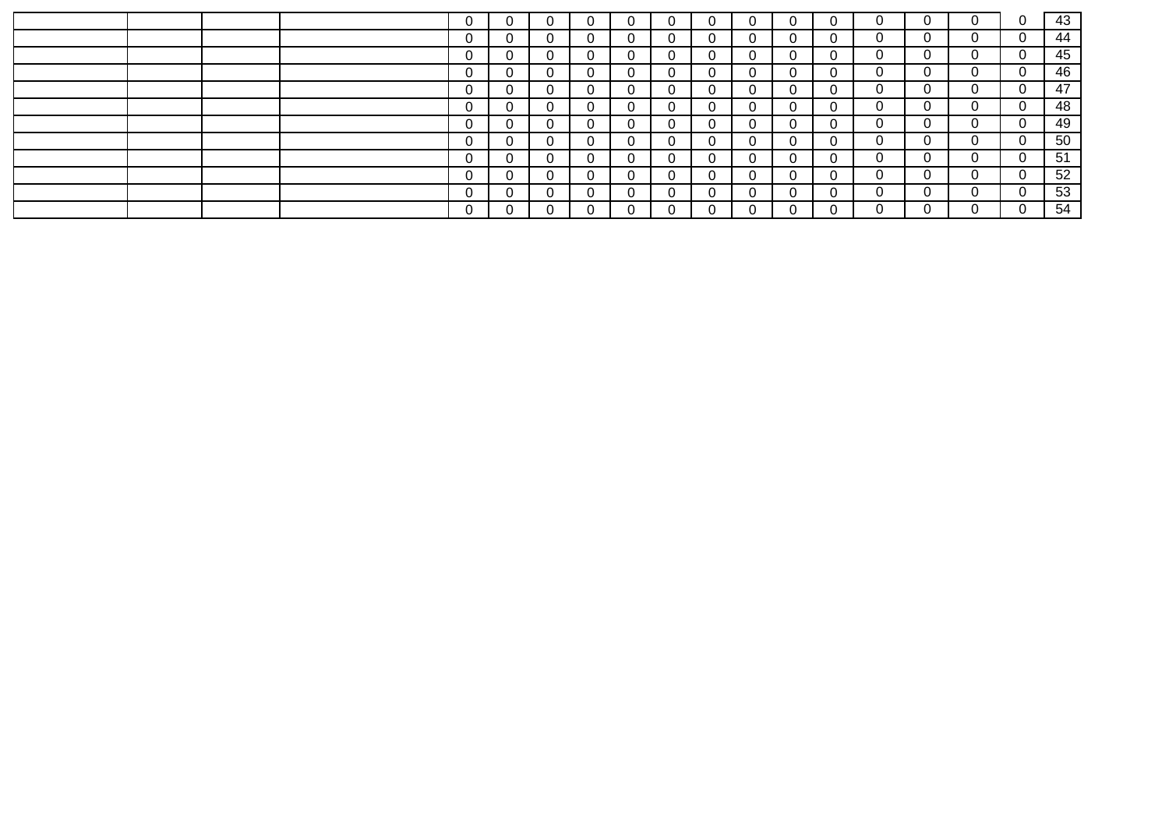|  |  | 0 |             | υ |              |                | U |              |   | $\mathbf 0$    |                | 0 | 0        | - 0            | 43 |
|--|--|---|-------------|---|--------------|----------------|---|--------------|---|----------------|----------------|---|----------|----------------|----|
|  |  | 0 |             | 0 | $\Omega$     | 0              | 0 |              | 0 | 0              | $\Omega$       | 0 | 0        | $\overline{0}$ | 44 |
|  |  | 0 | 0           | 0 | 0            | 0              | 0 |              | 0 | 0              | $\overline{0}$ | 0 | 0        | 0              | 45 |
|  |  | 0 | 0           | 0 | 0            | 0              | 0 |              | 0 | 0              | 0              | 0 | $\Omega$ | $\overline{0}$ | 46 |
|  |  | 0 | 0           | 0 | $\mathbf{0}$ | 0              | 0 | $\mathbf{0}$ | 0 | $\overline{0}$ | 0              | 0 | $\Omega$ | 0              | 47 |
|  |  | 0 | 0           | 0 | $\mathbf{0}$ | 0              | 0 | $\mathbf{0}$ | 0 | 0              | 0              | 0 | 0        | 0              | 48 |
|  |  | 0 |             | 0 | 0            | 0              | 0 |              | 0 | 0              | 0              | 0 | 0        | 0              | 49 |
|  |  | 0 | $\mathbf 0$ | 0 | $\mathbf{0}$ | 0              | 0 |              | 0 | 0              | 0              | 0 | 0        | 0              | 50 |
|  |  | 0 | $\mathbf 0$ | 0 | $\mathbf 0$  | 0              | 0 |              | 0 | 0              | 0              | 0 | 0        | 0              | 51 |
|  |  | 0 |             | 0 | $\Omega$     | $\mathbf{0}$   | 0 |              | 0 | $\mathbf 0$    | $\mathbf{0}$   | 0 | 0        | 0              | 52 |
|  |  | 0 |             | 0 | $\Omega$     | $\overline{0}$ | 0 |              | 0 | $\overline{0}$ |                | 0 | 0        | 0              | 53 |
|  |  |   |             |   |              |                |   |              |   | $\Omega$       |                |   |          | $\Omega$       | 54 |